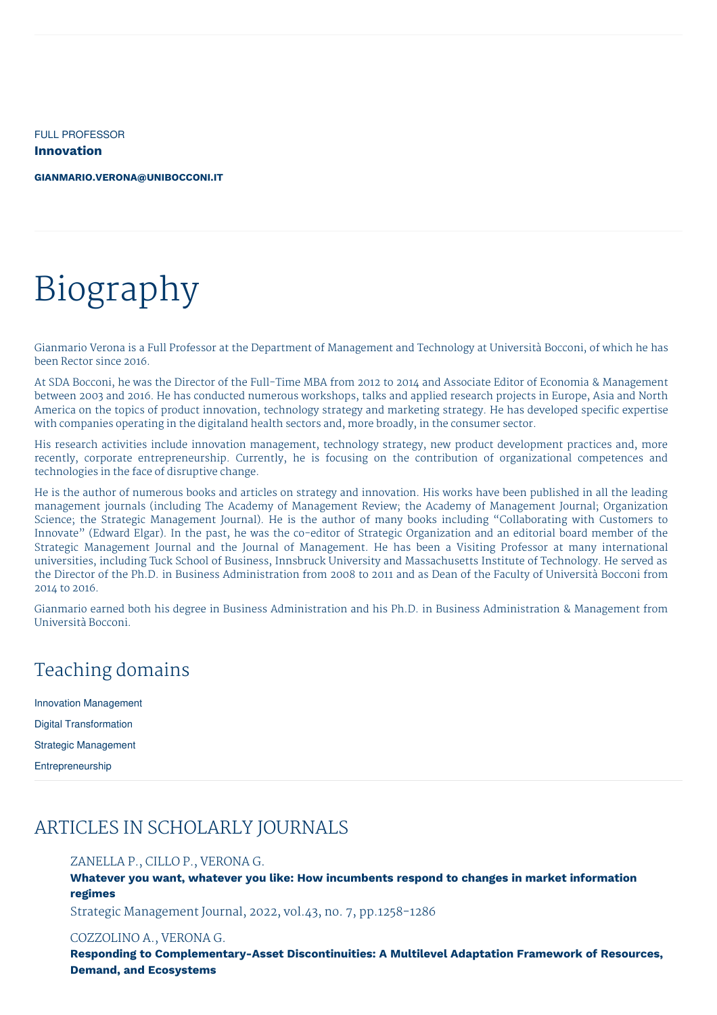FULL PROFESSOR **Innovation**

**[GIANMARIO.VERONA@UNIBOCCONI.IT](mailto:gianmario.verona@unibocconi.it)**

# Biography

Gianmario Verona is a Full Professor at the Department of Management and Technology at Università Bocconi, of which he has been Rector since 2016.

At SDA Bocconi, he was the Director of the Full-Time MBA from 2012 to 2014 and Associate Editor of Economia & Management between 2003 and 2016. He has conducted numerous workshops, talks and applied research projects in Europe, Asia and North America on the topics of product innovation, technology strategy and marketing strategy. He has developed specific expertise with companies operating in the digitaland health sectors and, more broadly, in the consumer sector.

His research activities include innovation management, technology strategy, new product development practices and, more recently, corporate entrepreneurship. Currently, he is focusing on the contribution of organizational competences and technologies in the face of disruptive change.

He is the author of numerous books and articles on strategy and innovation. His works have been published in all the leading management journals (including The Academy of Management Review; the Academy of Management Journal; Organization Science; the Strategic Management Journal). He is the author of many books including "Collaborating with Customers to Innovate" (Edward Elgar). In the past, he was the co-editor of Strategic Organization and an editorial board member of the Strategic Management Journal and the Journal of Management. He has been a Visiting Professor at many international universities, including Tuck School of Business, Innsbruck University and Massachusetts Institute of Technology. He served as the Director of the Ph.D. in Business Administration from 2008 to 2011 and as Dean of the Faculty of Università Bocconi from 2014 to 2016.

Gianmario earned both his degree in Business Administration and his Ph.D. in Business Administration & Management from Università Bocconi.

# Teaching domains

| <b>Innovation Management</b>  |
|-------------------------------|
| <b>Digital Transformation</b> |
| Strategic Management          |
| Entrepreneurship              |

# ARTICLES IN SCHOLARLY JOURNALS

# ZANELLA P., CILLO P., VERONA G.

**Whatever you want, whatever you like: How incumbents respond to changes in market information regimes**

Strategic Management Journal, 2022, vol.43, no. 7, pp.1258-1286

## COZZOLINO A., VERONA G.

**Responding to Complementary-Asset Discontinuities: A Multilevel Adaptation Framework of Resources, Demand, and Ecosystems**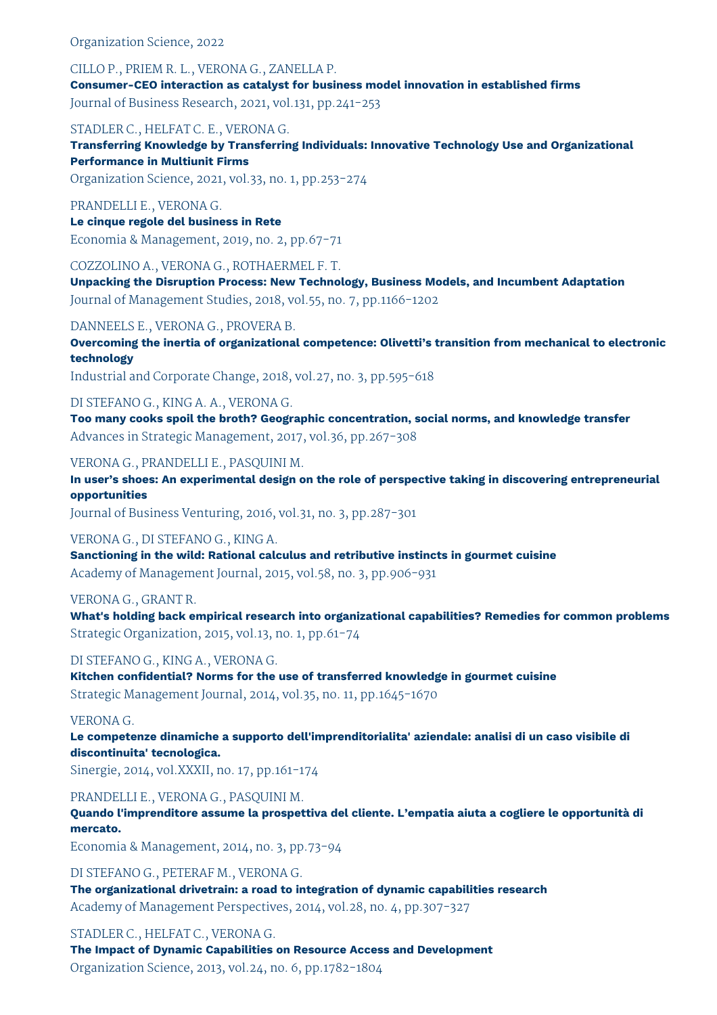Organization Science, 2022

CILLO P., PRIEM R. L., VERONA G., ZANELLA P. **Consumer-CEO interaction as catalyst for business model innovation in established firms** Journal of Business Research, 2021, vol.131, pp.241-253

STADLER C., HELFAT C. E., VERONA G.

**Transferring Knowledge by Transferring Individuals: Innovative Technology Use and Organizational Performance in Multiunit Firms**

Organization Science, 2021, vol.33, no. 1, pp.253-274

PRANDELLI E., VERONA G.

**Le cinque regole del business in Rete**

Economia & Management, 2019, no. 2, pp.67-71

COZZOLINO A., VERONA G., ROTHAERMEL F. T.

**Unpacking the Disruption Process: New Technology, Business Models, and Incumbent Adaptation** Journal of Management Studies, 2018, vol.55, no. 7, pp.1166-1202

DANNEELS E., VERONA G., PROVERA B.

**Overcoming the inertia of organizational competence: Olivetti's transition from mechanical to electronic technology**

Industrial and Corporate Change, 2018, vol.27, no. 3, pp.595-618

DI STEFANO G., KING A. A., VERONA G.

**Too many cooks spoil the broth? Geographic concentration, social norms, and knowledge transfer** Advances in Strategic Management, 2017, vol.36, pp.267-308

VERONA G., PRANDELLI E., PASQUINI M.

**In user's shoes: An experimental design on the role of perspective taking in discovering entrepreneurial opportunities**

Journal of Business Venturing, 2016, vol.31, no. 3, pp.287-301

VERONA G., DI STEFANO G., KING A.

**Sanctioning in the wild: Rational calculus and retributive instincts in gourmet cuisine** Academy of Management Journal, 2015, vol.58, no. 3, pp.906-931

VERONA G., GRANT R.

**What's holding back empirical research into organizational capabilities? Remedies for common problems** Strategic Organization, 2015, vol.13, no. 1, pp.61-74

DI STEFANO G., KING A., VERONA G.

**Kitchen confidential? Norms for the use of transferred knowledge in gourmet cuisine** Strategic Management Journal, 2014, vol.35, no. 11, pp.1645-1670

VERONA G.

**Le competenze dinamiche a supporto dell'imprenditorialita' aziendale: analisi di un caso visibile di discontinuita' tecnologica.**

Sinergie, 2014, vol.XXXII, no. 17, pp.161-174

PRANDELLI E., VERONA G., PASQUINI M.

**Quando l'imprenditore assume la prospettiva del cliente. L'empatia aiuta a cogliere le opportunità di mercato.**

Economia & Management, 2014, no. 3, pp.73-94

DI STEFANO G., PETERAF M., VERONA G. **The organizational drivetrain: a road to integration of dynamic capabilities research** Academy of Management Perspectives, 2014, vol.28, no. 4, pp.307-327

STADLER C., HELFAT C., VERONA G. **The Impact of Dynamic Capabilities on Resource Access and Development** Organization Science, 2013, vol.24, no. 6, pp.1782-1804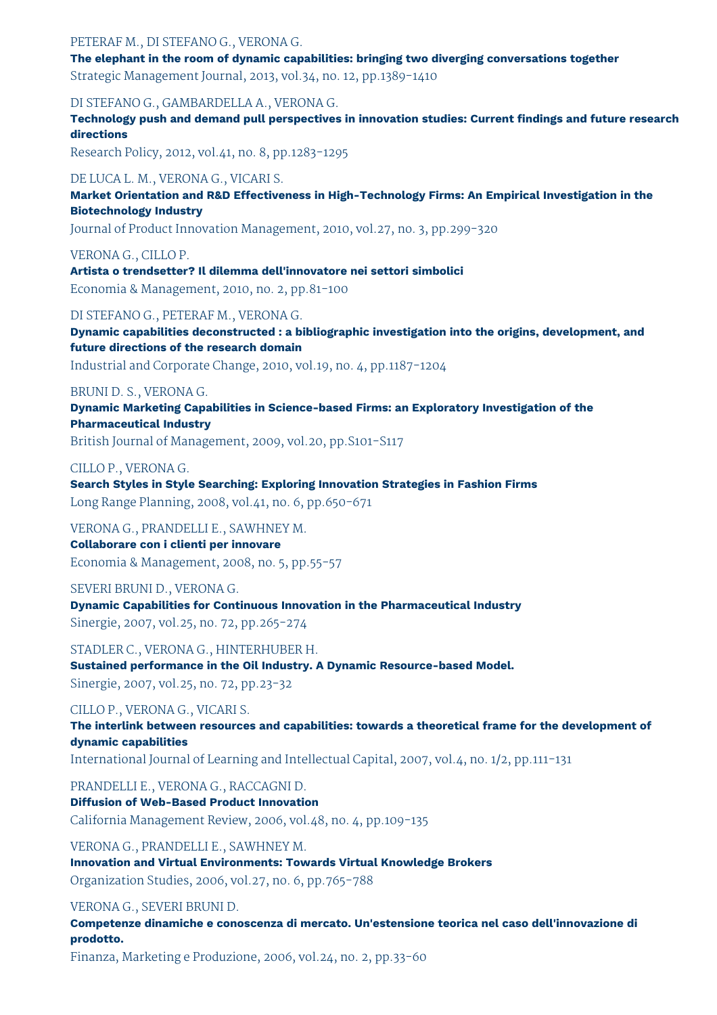# PETERAF M., DI STEFANO G., VERONA G.

**The elephant in the room of dynamic capabilities: bringing two diverging conversations together**

Strategic Management Journal, 2013, vol.34, no. 12, pp.1389-1410

DI STEFANO G., GAMBARDELLA A., VERONA G.

**Technology push and demand pull perspectives in innovation studies: Current findings and future research directions**

Research Policy, 2012, vol.41, no. 8, pp.1283-1295

#### DE LUCA L. M., VERONA G., VICARI S.

**Market Orientation and R&D Effectiveness in High-Technology Firms: An Empirical Investigation in the Biotechnology Industry**

Journal of Product Innovation Management, 2010, vol.27, no. 3, pp.299-320

VERONA G., CILLO P.

**Artista o trendsetter? Il dilemma dell'innovatore nei settori simbolici** Economia & Management, 2010, no. 2, pp.81-100

DI STEFANO G., PETERAF M., VERONA G.

**Dynamic capabilities deconstructed : a bibliographic investigation into the origins, development, and future directions of the research domain**

Industrial and Corporate Change, 2010, vol.19, no. 4, pp.1187-1204

# BRUNI D. S., VERONA G.

**Dynamic Marketing Capabilities in Science-based Firms: an Exploratory Investigation of the Pharmaceutical Industry**

British Journal of Management, 2009, vol.20, pp.S101-S117

# CILLO P., VERONA G.

**Search Styles in Style Searching: Exploring Innovation Strategies in Fashion Firms** Long Range Planning, 2008, vol.41, no. 6, pp.650-671

VERONA G., PRANDELLI E., SAWHNEY M. **Collaborare con i clienti per innovare** Economia & Management, 2008, no. 5, pp.55-57

SEVERI BRUNI D., VERONA G.

**Dynamic Capabilities for Continuous Innovation in the Pharmaceutical Industry** Sinergie, 2007, vol.25, no. 72, pp.265-274

STADLER C., VERONA G., HINTERHUBER H.

**Sustained performance in the Oil Industry. A Dynamic Resource-based Model.** Sinergie, 2007, vol.25, no. 72, pp.23-32

# CILLO P., VERONA G., VICARI S.

**The interlink between resources and capabilities: towards a theoretical frame for the development of dynamic capabilities**

International Journal of Learning and Intellectual Capital, 2007, vol.4, no. 1/2, pp.111-131

PRANDELLI E., VERONA G., RACCAGNI D.

# **Diffusion of Web-Based Product Innovation**

California Management Review, 2006, vol.48, no. 4, pp.109-135

VERONA G., PRANDELLI E., SAWHNEY M. **Innovation and Virtual Environments: Towards Virtual Knowledge Brokers** Organization Studies, 2006, vol.27, no. 6, pp.765-788

# VERONA G., SEVERI BRUNI D.

**Competenze dinamiche e conoscenza di mercato. Un'estensione teorica nel caso dell'innovazione di prodotto.**

Finanza, Marketing e Produzione, 2006, vol.24, no. 2, pp.33-60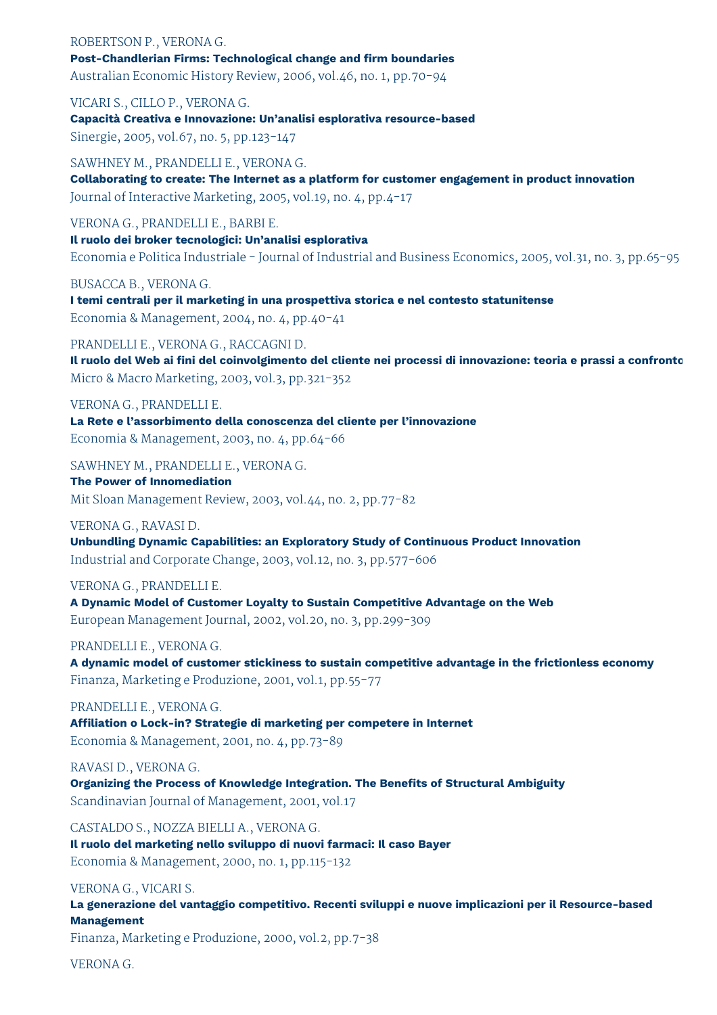# ROBERTSON P., VERONA G. **Post-Chandlerian Firms: Technological change and firm boundaries** Australian Economic History Review, 2006, vol.46, no. 1, pp.70-94

VICARI S., CILLO P., VERONA G.

**Capacità Creativa e Innovazione: Un'analisi esplorativa resource-based**

Sinergie, 2005, vol.67, no. 5, pp.123-147

SAWHNEY M., PRANDELLI E., VERONA G. **Collaborating to create: The Internet as a platform for customer engagement in product innovation** Journal of Interactive Marketing, 2005, vol.19, no. 4, pp.4-17

VERONA G., PRANDELLI E., BARBI E.

**Il ruolo dei broker tecnologici: Un'analisi esplorativa** Economia e Politica Industriale - Journal of Industrial and Business Economics, 2005, vol.31, no. 3, pp.65-95

BUSACCA B., VERONA G.

**I temi centrali per il marketing in una prospettiva storica e nel contesto statunitense** Economia & Management, 2004, no. 4, pp.40-41

PRANDELLI E., VERONA G., RACCAGNI D.

Il ruolo del Web ai fini del coinvolgimento del cliente nei processi di innovazione: teoria e prassi a confronto Micro & Macro Marketing, 2003, vol.3, pp.321-352

VERONA G., PRANDELLI E. **La Rete e l'assorbimento della conoscenza del cliente per l'innovazione** Economia & Management, 2003, no. 4, pp.64-66

SAWHNEY M., PRANDELLI E., VERONA G.

**The Power of Innomediation** Mit Sloan Management Review, 2003, vol.44, no. 2, pp.77-82

VERONA G., RAVASI D.

**Unbundling Dynamic Capabilities: an Exploratory Study of Continuous Product Innovation** Industrial and Corporate Change, 2003, vol.12, no. 3, pp.577-606

VERONA G., PRANDELLI E.

**A Dynamic Model of Customer Loyalty to Sustain Competitive Advantage on the Web** European Management Journal, 2002, vol.20, no. 3, pp.299-309

PRANDELLI E., VERONA G.

**A dynamic model of customer stickiness to sustain competitive advantage in the frictionless economy** Finanza, Marketing e Produzione, 2001, vol.1, pp.55-77

PRANDELLI E., VERONA G.

**Affiliation o Lock-in? Strategie di marketing per competere in Internet** Economia & Management, 2001, no. 4, pp.73-89

RAVASI D., VERONA G.

**Organizing the Process of Knowledge Integration. The Benefits of Structural Ambiguity** Scandinavian Journal of Management, 2001, vol.17

CASTALDO S., NOZZA BIELLI A., VERONA G. **Il ruolo del marketing nello sviluppo di nuovi farmaci: Il caso Bayer** Economia & Management, 2000, no. 1, pp.115-132

VERONA G., VICARI S.

**La generazione del vantaggio competitivo. Recenti sviluppi e nuove implicazioni per il Resource-based Management**

Finanza, Marketing e Produzione, 2000, vol.2, pp.7-38

VERONA G.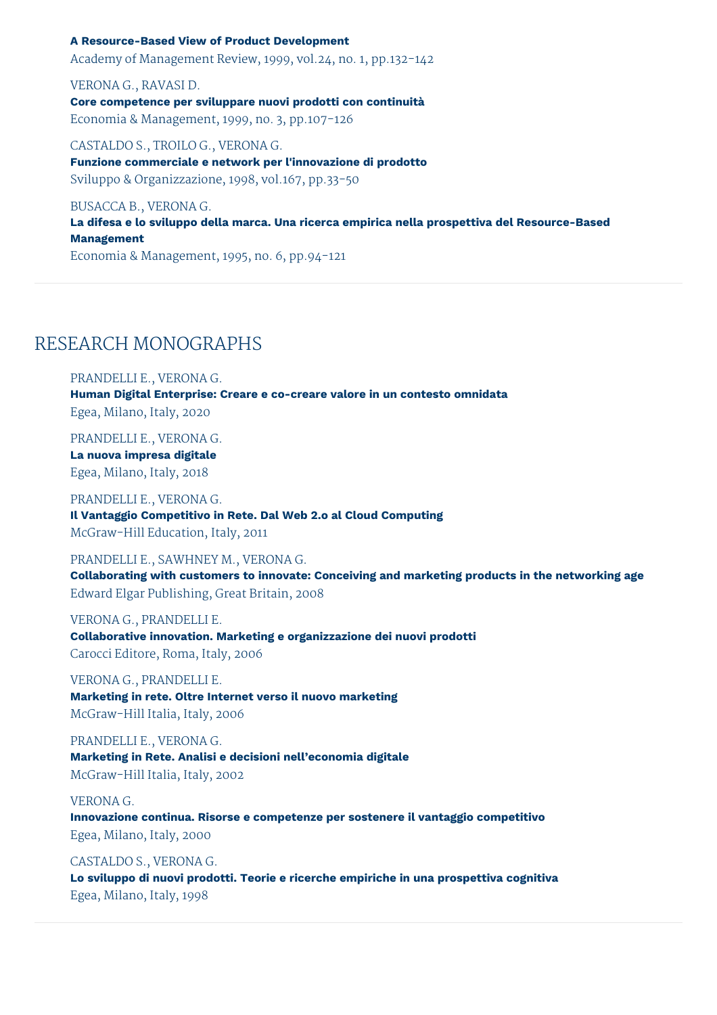# **A Resource-Based View of Product Development**

Academy of Management Review, 1999, vol.24, no. 1, pp.132-142

VERONA G., RAVASI D. **Core competence per sviluppare nuovi prodotti con continuità** Economia & Management, 1999, no. 3, pp.107-126

CASTALDO S., TROILO G., VERONA G. **Funzione commerciale e network per l'innovazione di prodotto** Sviluppo & Organizzazione, 1998, vol.167, pp.33-50

BUSACCA B., VERONA G.

**La difesa e lo sviluppo della marca. Una ricerca empirica nella prospettiva del Resource-Based Management**

Economia & Management, 1995, no. 6, pp.94-121

# RESEARCH MONOGRAPHS

PRANDELLI E., VERONA G. **Human Digital Enterprise: Creare e co-creare valore in un contesto omnidata** Egea, Milano, Italy, 2020

PRANDELLI E., VERONA G.

**La nuova impresa digitale** Egea, Milano, Italy, 2018

PRANDELLI E., VERONA G. **Il Vantaggio Competitivo in Rete. Dal Web 2.o al Cloud Computing** McGraw-Hill Education, Italy, 2011

PRANDELLI E., SAWHNEY M., VERONA G.

**Collaborating with customers to innovate: Conceiving and marketing products in the networking age** Edward Elgar Publishing, Great Britain, 2008

VERONA G., PRANDELLI E. **Collaborative innovation. Marketing e organizzazione dei nuovi prodotti** Carocci Editore, Roma, Italy, 2006

VERONA G., PRANDELLI E. **Marketing in rete. Oltre Internet verso il nuovo marketing** McGraw-Hill Italia, Italy, 2006

PRANDELLI E., VERONA G. **Marketing in Rete. Analisi e decisioni nell'economia digitale** McGraw-Hill Italia, Italy, 2002

# VERONA G.

**Innovazione continua. Risorse e competenze per sostenere il vantaggio competitivo** Egea, Milano, Italy, 2000

CASTALDO S., VERONA G. **Lo sviluppo di nuovi prodotti. Teorie e ricerche empiriche in una prospettiva cognitiva** Egea, Milano, Italy, 1998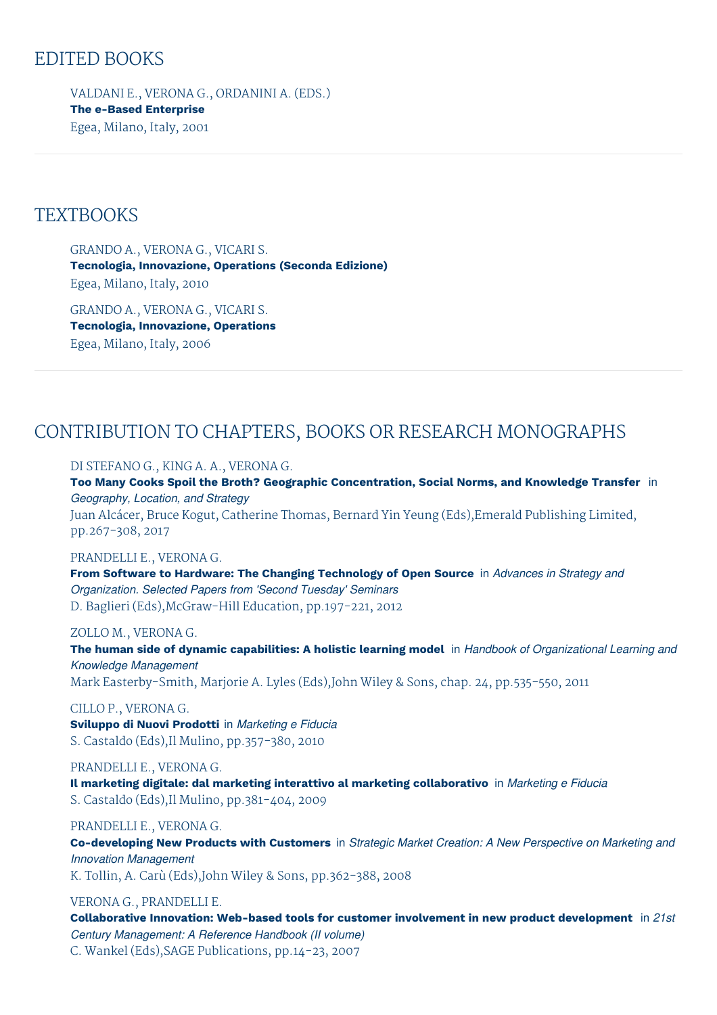# EDITED BOOKS

VALDANI E., VERONA G., ORDANINI A. (EDS.) **The e-Based Enterprise** Egea, Milano, Italy, 2001

# **TEXTBOOKS**

GRANDO A., VERONA G., VICARI S. **Tecnologia, Innovazione, Operations (Seconda Edizione)** Egea, Milano, Italy, 2010

GRANDO A., VERONA G., VICARI S. **Tecnologia, Innovazione, Operations** Egea, Milano, Italy, 2006

# CONTRIBUTION TO CHAPTERS, BOOKS OR RESEARCH MONOGRAPHS

DI STEFANO G., KING A. A., VERONA G.

**Too Many Cooks Spoil the Broth? Geographic Concentration, Social Norms, and Knowledge Transfer** in *Geography, Location, and Strategy*

Juan Alcácer, Bruce Kogut, Catherine Thomas, Bernard Yin Yeung (Eds),Emerald Publishing Limited, pp.267-308, 2017

# PRANDELLI E., VERONA G.

**From Software to Hardware: The Changing Technology of Open Source** in *Advances in Strategy and Organization. Selected Papers from 'Second Tuesday' Seminars* D. Baglieri (Eds),McGraw-Hill Education, pp.197-221, 2012

# ZOLLO M., VERONA G.

**The human side of dynamic capabilities: A holistic learning model** in *Handbook of Organizational Learning and Knowledge Management* Mark Easterby-Smith, Marjorie A. Lyles (Eds),John Wiley & Sons, chap. 24, pp.535-550, 2011

CILLO P., VERONA G. **Sviluppo di Nuovi Prodotti** in *Marketing e Fiducia* S. Castaldo (Eds),Il Mulino, pp.357-380, 2010

PRANDELLI E., VERONA G. **Il marketing digitale: dal marketing interattivo al marketing collaborativo** in *Marketing e Fiducia* S. Castaldo (Eds),Il Mulino, pp.381-404, 2009

PRANDELLI E., VERONA G.

**Co-developing New Products with Customers** in *Strategic Market Creation: A New Perspective on Marketing and Innovation Management*

K. Tollin, A. Carù (Eds),John Wiley & Sons, pp.362-388, 2008

# VERONA G., PRANDELLI E.

**Collaborative Innovation: Web-based tools for customer involvement in new product development** in *21st Century Management: A Reference Handbook (II volume)* C. Wankel (Eds),SAGE Publications, pp.14-23, 2007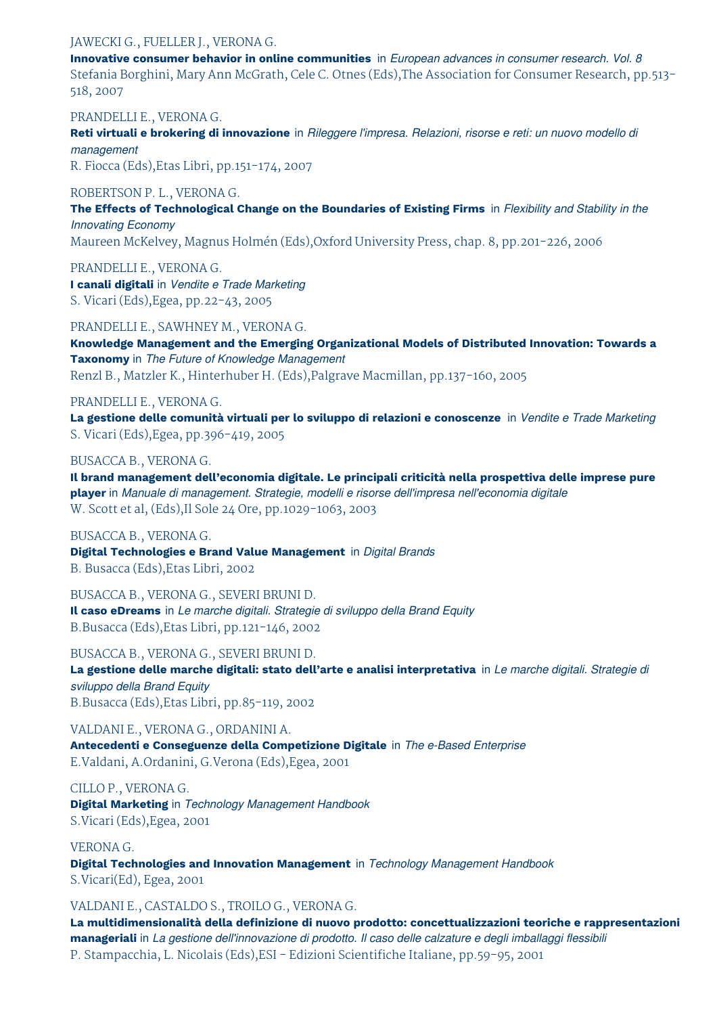# JAWECKI G., FUELLER J., VERONA G.

**Innovative consumer behavior in online communities** in *European advances in consumer research. Vol. 8* Stefania Borghini, Mary Ann McGrath, Cele C. Otnes (Eds),The Association for Consumer Research, pp.513- 518, 2007

PRANDELLI E., VERONA G.

**Reti virtuali e brokering di innovazione** in *Rileggere l'impresa. Relazioni, risorse e reti: un nuovo modello di management*

R. Fiocca (Eds),Etas Libri, pp.151-174, 2007

# ROBERTSON P. L., VERONA G.

**The Effects of Technological Change on the Boundaries of Existing Firms** in *Flexibility and Stability in the Innovating Economy*

Maureen McKelvey, Magnus Holmén (Eds),Oxford University Press, chap. 8, pp.201-226, 2006

PRANDELLI E., VERONA G.

**I canali digitali** in *Vendite e Trade Marketing* S. Vicari (Eds),Egea, pp.22-43, 2005

PRANDELLI E., SAWHNEY M., VERONA G.

**Knowledge Management and the Emerging Organizational Models of Distributed Innovation: Towards a Taxonomy** in *The Future of Knowledge Management* Renzl B., Matzler K., Hinterhuber H. (Eds),Palgrave Macmillan, pp.137-160, 2005

# PRANDELLI E., VERONA G.

**La gestione delle comunità virtuali per lo sviluppo di relazioni e conoscenze** in *Vendite e Trade Marketing* S. Vicari (Eds),Egea, pp.396-419, 2005

# BUSACCA B., VERONA G.

**Il brand management dell'economia digitale. Le principali criticità nella prospettiva delle imprese pure player** in *Manuale di management. Strategie, modelli e risorse dell'impresa nell'economia digitale* W. Scott et al, (Eds),Il Sole 24 Ore, pp.1029-1063, 2003

BUSACCA B., VERONA G. **Digital Technologies e Brand Value Management** in *Digital Brands* B. Busacca (Eds),Etas Libri, 2002

BUSACCA B., VERONA G., SEVERI BRUNI D. **Il caso eDreams** in *Le marche digitali. Strategie di sviluppo della Brand Equity* B.Busacca (Eds),Etas Libri, pp.121-146, 2002

BUSACCA B., VERONA G., SEVERI BRUNI D.

**La gestione delle marche digitali: stato dell'arte e analisi interpretativa** in *Le marche digitali. Strategie di sviluppo della Brand Equity* B.Busacca (Eds),Etas Libri, pp.85-119, 2002

VALDANI E., VERONA G., ORDANINI A. **Antecedenti e Conseguenze della Competizione Digitale** in *The e-Based Enterprise* E.Valdani, A.Ordanini, G.Verona (Eds),Egea, 2001

CILLO P., VERONA G. **Digital Marketing** in *Technology Management Handbook* S.Vicari (Eds),Egea, 2001

VERONA G. **Digital Technologies and Innovation Management** in *Technology Management Handbook* S.Vicari(Ed), Egea, 2001

# VALDANI E., CASTALDO S., TROILO G., VERONA G.

**La multidimensionalità della definizione di nuovo prodotto: concettualizzazioni teoriche e rappresentazioni manageriali** in *La gestione dell'innovazione di prodotto. Il caso delle calzature e degli imballaggi flessibili* P. Stampacchia, L. Nicolais (Eds),ESI - Edizioni Scientifiche Italiane, pp.59-95, 2001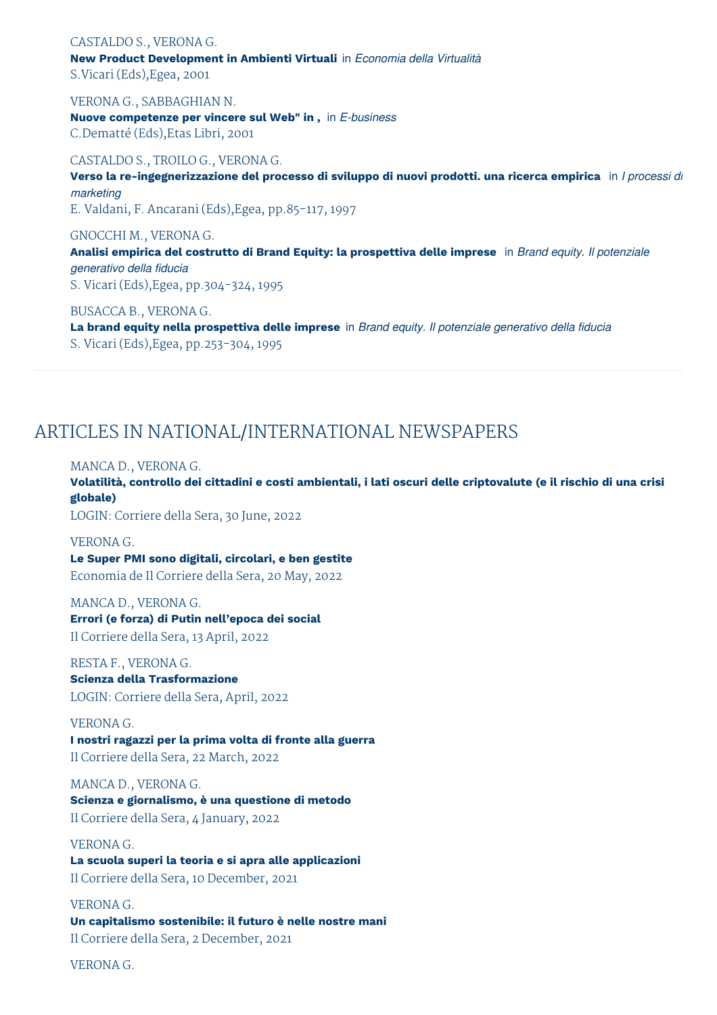#### CASTALDO S., VERONA G.

**New Product Development in Ambienti Virtuali** in *Economia della Virtualità* S.Vicari (Eds),Egea, 2001

VERONA G., SABBAGHIAN N. **Nuove competenze per vincere sul Web" in ,** in *E-business* C.Dematté (Eds),Etas Libri, 2001

## CASTALDO S., TROILO G., VERONA G.

**Verso la re-ingegnerizzazione del processo di sviluppo di nuovi prodotti. una ricerca empirica** in *I processi di marketing* E. Valdani, F. Ancarani (Eds),Egea, pp.85-117, 1997

GNOCCHI M., VERONA G. **Analisi empirica del costrutto di Brand Equity: la prospettiva delle imprese** in *Brand equity. Il potenziale generativo della fiducia* S. Vicari (Eds),Egea, pp.304-324, 1995

BUSACCA B., VERONA G.

**La brand equity nella prospettiva delle imprese** in *Brand equity. Il potenziale generativo della fiducia* S. Vicari (Eds),Egea, pp.253-304, 1995

# ARTICLES IN NATIONAL/INTERNATIONAL NEWSPAPERS

#### MANCA D., VERONA G.

Volatilità, controllo dei cittadini e costi ambientali, i lati oscuri delle criptovalute (e il rischio di una crisi **globale)**

LOGIN: Corriere della Sera, 30 June, 2022

VERONA G. **Le Super PMI sono digitali, circolari, e ben gestite** Economia de Il Corriere della Sera, 20 May, 2022

MANCA D., VERONA G. **Errori (e forza) di Putin nell'epoca dei social** Il Corriere della Sera, 13 April, 2022

RESTA F., VERONA G. **Scienza della Trasformazione** LOGIN: Corriere della Sera, April, 2022

VERONA G. **I nostri ragazzi per la prima volta di fronte alla guerra**

Il Corriere della Sera, 22 March, 2022

MANCA D., VERONA G. **Scienza e giornalismo, è una questione di metodo** Il Corriere della Sera, 4 January, 2022

VERONA G. **La scuola superi la teoria e si apra alle applicazioni** Il Corriere della Sera, 10 December, 2021

VERONA G. **Un capitalismo sostenibile: il futuro è nelle nostre mani** Il Corriere della Sera, 2 December, 2021

VERONA G.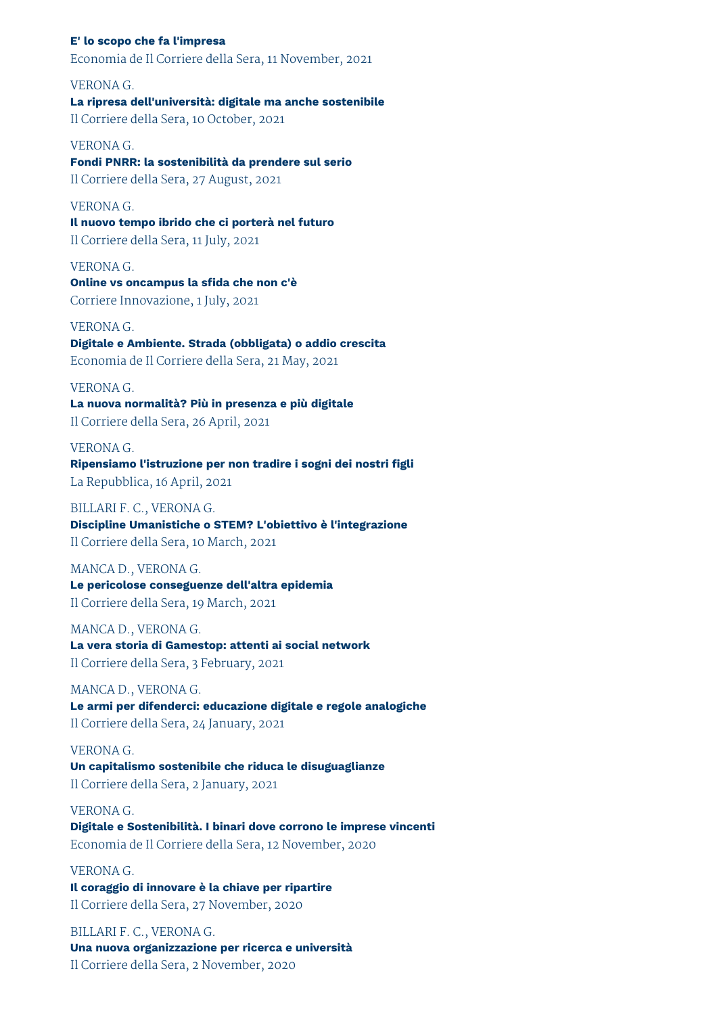## **E' lo scopo che fa l'impresa**

Economia de Il Corriere della Sera, 11 November, 2021

# VERONA G. **La ripresa dell'università: digitale ma anche sostenibile** Il Corriere della Sera, 10 October, 2021

# VERONA G.

**Fondi PNRR: la sostenibilità da prendere sul serio** Il Corriere della Sera, 27 August, 2021

# VERONA G.

**Il nuovo tempo ibrido che ci porterà nel futuro** Il Corriere della Sera, 11 July, 2021

# VERONA G. **Online vs oncampus la sfida che non c'è** Corriere Innovazione, 1 July, 2021

#### VERONA G.

**Digitale e Ambiente. Strada (obbligata) o addio crescita** Economia de Il Corriere della Sera, 21 May, 2021

# VERONA G. **La nuova normalità? Più in presenza e più digitale** Il Corriere della Sera, 26 April, 2021

VERONA G. **Ripensiamo l'istruzione per non tradire i sogni dei nostri figli** La Repubblica, 16 April, 2021

# BILLARI F. C., VERONA G. **Discipline Umanistiche o STEM? L'obiettivo è l'integrazione** Il Corriere della Sera, 10 March, 2021

# MANCA D., VERONA G. **Le pericolose conseguenze dell'altra epidemia**

Il Corriere della Sera, 19 March, 2021

# MANCA D., VERONA G.

**La vera storia di Gamestop: attenti ai social network** Il Corriere della Sera, 3 February, 2021

MANCA D., VERONA G. **Le armi per difenderci: educazione digitale e regole analogiche** Il Corriere della Sera, 24 January, 2021

# VERONA G. **Un capitalismo sostenibile che riduca le disuguaglianze** Il Corriere della Sera, 2 January, 2021

VERONA G. **Digitale e Sostenibilità. I binari dove corrono le imprese vincenti** Economia de Il Corriere della Sera, 12 November, 2020

# VERONA G. **Il coraggio di innovare è la chiave per ripartire** Il Corriere della Sera, 27 November, 2020

BILLARI F. C., VERONA G. **Una nuova organizzazione per ricerca e università** Il Corriere della Sera, 2 November, 2020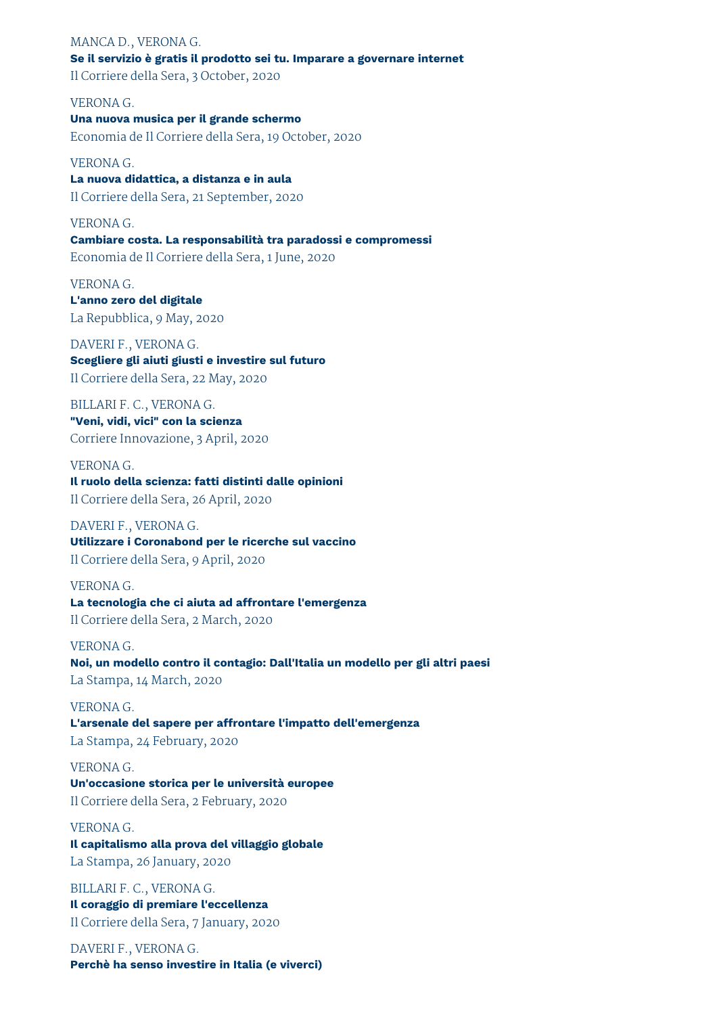# MANCA D., VERONA G. **Se il servizio è gratis il prodotto sei tu. Imparare a governare internet** Il Corriere della Sera, 3 October, 2020

VERONA G. **Una nuova musica per il grande schermo** Economia de Il Corriere della Sera, 19 October, 2020

VERONA G. **La nuova didattica, a distanza e in aula** Il Corriere della Sera, 21 September, 2020

VERONA G. **Cambiare costa. La responsabilità tra paradossi e compromessi** Economia de Il Corriere della Sera, 1 June, 2020

VERONA G. **L'anno zero del digitale** La Repubblica, 9 May, 2020

DAVERI F., VERONA G. **Scegliere gli aiuti giusti e investire sul futuro** Il Corriere della Sera, 22 May, 2020

BILLARI F. C., VERONA G. **"Veni, vidi, vici" con la scienza** Corriere Innovazione, 3 April, 2020

VERONA G. **Il ruolo della scienza: fatti distinti dalle opinioni** Il Corriere della Sera, 26 April, 2020

DAVERI F., VERONA G. **Utilizzare i Coronabond per le ricerche sul vaccino** Il Corriere della Sera, 9 April, 2020

VERONA G. **La tecnologia che ci aiuta ad affrontare l'emergenza** Il Corriere della Sera, 2 March, 2020

VERONA G. **Noi, un modello contro il contagio: Dall'Italia un modello per gli altri paesi** La Stampa, 14 March, 2020

VERONA G. **L'arsenale del sapere per affrontare l'impatto dell'emergenza** La Stampa, 24 February, 2020

VERONA G. **Un'occasione storica per le università europee** Il Corriere della Sera, 2 February, 2020

VERONA G. **Il capitalismo alla prova del villaggio globale** La Stampa, 26 January, 2020

BILLARI F. C., VERONA G. **Il coraggio di premiare l'eccellenza** Il Corriere della Sera, 7 January, 2020

DAVERI F., VERONA G. **Perchè ha senso investire in Italia (e viverci)**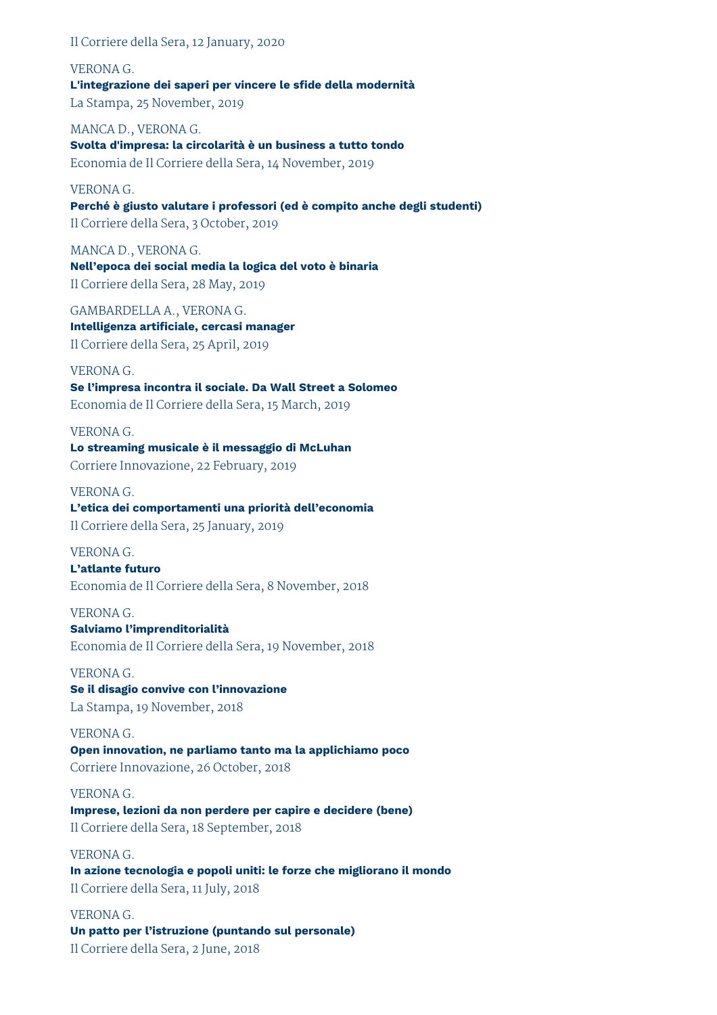Il Corriere della Sera, 12 January, 2020

VERONA G. **L'integrazione dei saperi per vincere le sfide della modernità** La Stampa, 25 November, 2019

MANCA D., VERONA G. **Svolta d'impresa: la circolarità è un business a tutto tondo** Economia de Il Corriere della Sera, 14 November, 2019

VERONA G. **Perché è giusto valutare i professori (ed è compito anche degli studenti)** Il Corriere della Sera, 3 October, 2019

MANCA D., VERONA G. **Nell'epoca dei social media la logica del voto è binaria** Il Corriere della Sera, 28 May, 2019

GAMBARDELLA A., VERONA G. **Intelligenza artificiale, cercasi manager** Il Corriere della Sera, 25 April, 2019

# VERONA G.

**Se l'impresa incontra il sociale. Da Wall Street a Solomeo** Economia de Il Corriere della Sera, 15 March, 2019

# VERONA G.

**Lo streaming musicale è il messaggio di McLuhan** Corriere Innovazione, 22 February, 2019

VERONA G.

**L'etica dei comportamenti una priorità dell'economia** Il Corriere della Sera, 25 January, 2019

VERONA G. **L'atlante futuro**

Economia de Il Corriere della Sera, 8 November, 2018

VERONA G. **Salviamo l'imprenditorialità** Economia de Il Corriere della Sera, 19 November, 2018

VERONA G. **Se il disagio convive con l'innovazione** La Stampa, 19 November, 2018

VERONA G. **Open innovation, ne parliamo tanto ma la applichiamo poco** Corriere Innovazione, 26 October, 2018

VERONA G. **Imprese, lezioni da non perdere per capire e decidere (bene)** Il Corriere della Sera, 18 September, 2018

VERONA G. **In azione tecnologia e popoli uniti: le forze che migliorano il mondo** Il Corriere della Sera, 11 July, 2018

VERONA G. **Un patto per l'istruzione (puntando sul personale)** Il Corriere della Sera, 2 June, 2018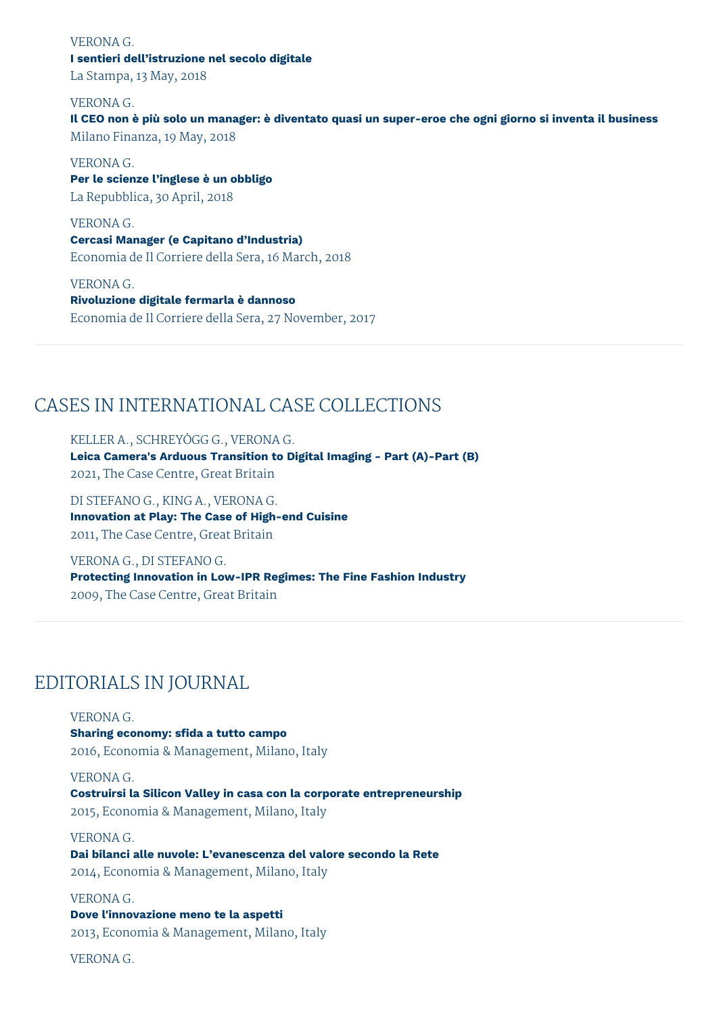#### VERONA G.

# **I sentieri dell'istruzione nel secolo digitale**

La Stampa, 13 May, 2018

# VERONA G.

Il CEO non è più solo un manager: è diventato quasi un super-eroe che ogni giorno si inventa il business Milano Finanza, 19 May, 2018

VERONA G.

**Per le scienze l'inglese è un obbligo** La Repubblica, 30 April, 2018

VERONA G.

**Cercasi Manager (e Capitano d'Industria)** Economia de Il Corriere della Sera, 16 March, 2018

VERONA G. **Rivoluzione digitale fermarla è dannoso** Economia de Il Corriere della Sera, 27 November, 2017

# CASES IN INTERNATIONAL CASE COLLECTIONS

KELLER A., SCHREYÖGG G., VERONA G.

**Leica Camera's Arduous Transition to Digital Imaging - Part (A)-Part (B)** 2021, The Case Centre, Great Britain

DI STEFANO G., KING A., VERONA G. **Innovation at Play: The Case of High-end Cuisine** 2011, The Case Centre, Great Britain

VERONA G., DI STEFANO G. **Protecting Innovation in Low-IPR Regimes: The Fine Fashion Industry** 2009, The Case Centre, Great Britain

# EDITORIALS IN JOURNAL

VERONA G. **Sharing economy: sfida a tutto campo** 2016, Economia & Management, Milano, Italy

VERONA G.

**Costruirsi la Silicon Valley in casa con la corporate entrepreneurship** 2015, Economia & Management, Milano, Italy

VERONA G. **Dai bilanci alle nuvole: L'evanescenza del valore secondo la Rete** 2014, Economia & Management, Milano, Italy

**Dove l'innovazione meno te la aspetti** 2013, Economia & Management, Milano, Italy

VERONA G.

VERONA G.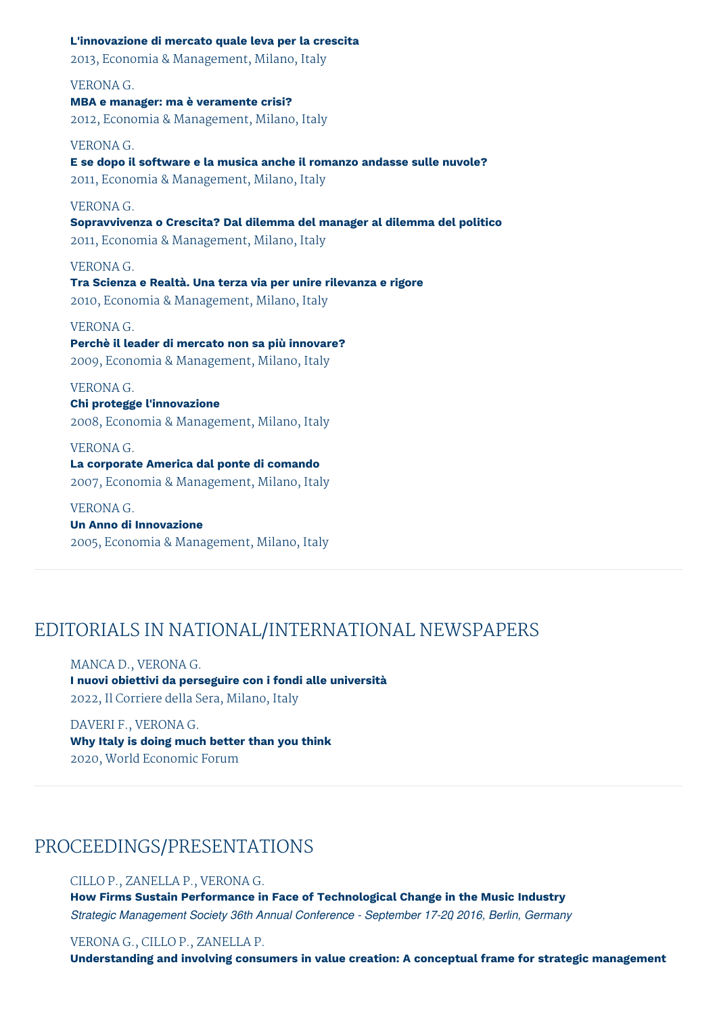**L'innovazione di mercato quale leva per la crescita**

2013, Economia & Management, Milano, Italy

# VERONA G.

**MBA e manager: ma è veramente crisi?** 2012, Economia & Management, Milano, Italy

#### VERONA G.

**E se dopo il software e la musica anche il romanzo andasse sulle nuvole?** 2011, Economia & Management, Milano, Italy

## VERONA G.

**Sopravvivenza o Crescita? Dal dilemma del manager al dilemma del politico** 2011, Economia & Management, Milano, Italy

VERONA G. **Tra Scienza e Realtà. Una terza via per unire rilevanza e rigore** 2010, Economia & Management, Milano, Italy

# VERONA G. **Perchè il leader di mercato non sa più innovare?** 2009, Economia & Management, Milano, Italy

VERONA G. **Chi protegge l'innovazione** 2008, Economia & Management, Milano, Italy

VERONA G. **La corporate America dal ponte di comando** 2007, Economia & Management, Milano, Italy

VERONA G. **Un Anno di Innovazione** 2005, Economia & Management, Milano, Italy

# EDITORIALS IN NATIONAL/INTERNATIONAL NEWSPAPERS

MANCA D., VERONA G. **I nuovi obiettivi da perseguire con i fondi alle università** 2022, Il Corriere della Sera, Milano, Italy

DAVERI F., VERONA G. **Why Italy is doing much better than you think** 2020, World Economic Forum

# PROCEEDINGS/PRESENTATIONS

# CILLO P., ZANELLA P., VERONA G.

**How Firms Sustain Performance in Face of Technological Change in the Music Industry** *Strategic Management Society 36th Annual Conference - September 17-20, 2016, Berlin, Germany*

VERONA G., CILLO P., ZANELLA P.

**Understanding and involving consumers in value creation: A conceptual frame for strategic management**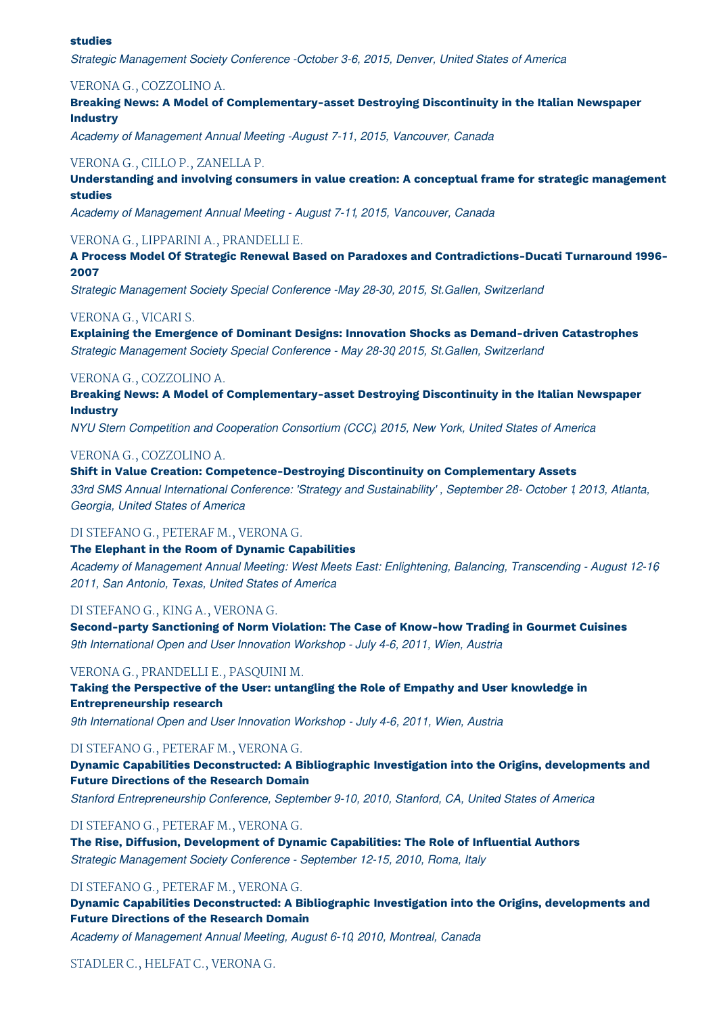#### **studies**

*Strategic Management Society Conference -October 3-6, 2015, Denver, United States of America*

# VERONA G., COZZOLINO A.

**Breaking News: A Model of Complementary-asset Destroying Discontinuity in the Italian Newspaper Industry**

*Academy of Management Annual Meeting -August 7-11, 2015, Vancouver, Canada*

# VERONA G., CILLO P., ZANELLA P.

**Understanding and involving consumers in value creation: A conceptual frame for strategic management studies**

*Academy of Management Annual Meeting - August 7-11, 2015, Vancouver, Canada*

# VERONA G., LIPPARINI A., PRANDELLI E.

**A Process Model Of Strategic Renewal Based on Paradoxes and Contradictions-Ducati Turnaround 1996- 2007**

*Strategic Management Society Special Conference -May 28-30, 2015, St.Gallen, Switzerland*

#### VERONA G., VICARI S.

**Explaining the Emergence of Dominant Designs: Innovation Shocks as Demand-driven Catastrophes** *Strategic Management Society Special Conference - May 28-30, 2015, St.Gallen, Switzerland*

# VERONA G., COZZOLINO A.

**Breaking News: A Model of Complementary-asset Destroying Discontinuity in the Italian Newspaper Industry**

*NYU Stern Competition and Cooperation Consortium (CCC), 2015, New York, United States of America*

# VERONA G., COZZOLINO A.

**Shift in Value Creation: Competence-Destroying Discontinuity on Complementary Assets**

*33rd SMS Annual International Conference: 'Strategy and Sustainability' , September 28- October 1, 2013, Atlanta, Georgia, United States of America*

#### DI STEFANO G., PETERAF M., VERONA G.

#### **The Elephant in the Room of Dynamic Capabilities**

*Academy of Management Annual Meeting: West Meets East: Enlightening, Balancing, Transcending - August 12-16, 2011, San Antonio, Texas, United States of America*

## DI STEFANO G., KING A., VERONA G.

**Second-party Sanctioning of Norm Violation: The Case of Know-how Trading in Gourmet Cuisines** *9th International Open and User Innovation Workshop - July 4-6, 2011, Wien, Austria*

# VERONA G., PRANDELLI E., PASQUINI M.

**Taking the Perspective of the User: untangling the Role of Empathy and User knowledge in Entrepreneurship research**

*9th International Open and User Innovation Workshop - July 4-6, 2011, Wien, Austria*

# DI STEFANO G., PETERAF M., VERONA G.

**Dynamic Capabilities Deconstructed: A Bibliographic Investigation into the Origins, developments and Future Directions of the Research Domain**

*Stanford Entrepreneurship Conference, September 9-10, 2010, Stanford, CA, United States of America*

DI STEFANO G., PETERAF M., VERONA G.

**The Rise, Diffusion, Development of Dynamic Capabilities: The Role of Influential Authors** *Strategic Management Society Conference - September 12-15, 2010, Roma, Italy*

## DI STEFANO G., PETERAF M., VERONA G.

**Dynamic Capabilities Deconstructed: A Bibliographic Investigation into the Origins, developments and Future Directions of the Research Domain**

*Academy of Management Annual Meeting, August 6-10, 2010, Montreal, Canada*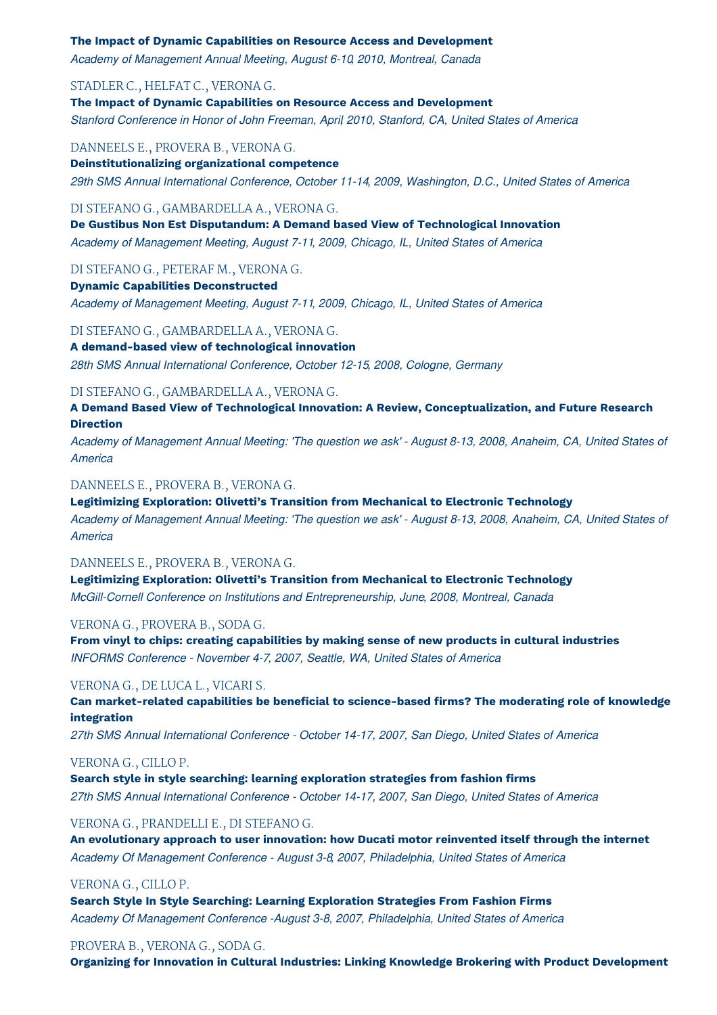#### **The Impact of Dynamic Capabilities on Resource Access and Development**

*Academy of Management Annual Meeting, August 6-10, 2010, Montreal, Canada*

# STADLER C., HELFAT C., VERONA G.

**The Impact of Dynamic Capabilities on Resource Access and Development** *Stanford Conference in Honor of John Freeman, April, 2010, Stanford, CA, United States of America*

#### DANNEELS E., PROVERA B., VERONA G.

**Deinstitutionalizing organizational competence** *29th SMS Annual International Conference, October 11-14, 2009, Washington, D.C., United States of America*

# DI STEFANO G., GAMBARDELLA A., VERONA G.

**De Gustibus Non Est Disputandum: A Demand based View of Technological Innovation** *Academy of Management Meeting, August 7-11, 2009, Chicago, IL, United States of America*

# DI STEFANO G., PETERAF M., VERONA G.

**Dynamic Capabilities Deconstructed** *Academy of Management Meeting, August 7-11, 2009, Chicago, IL, United States of America*

#### DI STEFANO G., GAMBARDELLA A., VERONA G.

#### **A demand-based view of technological innovation**

*28th SMS Annual International Conference, October 12-15, 2008, Cologne, Germany*

#### DI STEFANO G., GAMBARDELLA A., VERONA G.

**A Demand Based View of Technological Innovation: A Review, Conceptualization, and Future Research Direction**

Academy of Management Annual Meeting: 'The question we ask' - August 8-13, 2008, Anaheim, CA, United States of *America*

# DANNEELS E., PROVERA B., VERONA G.

**Legitimizing Exploration: Olivetti's Transition from Mechanical to Electronic Technology** Academy of Management Annual Meeting: 'The question we ask' - August 8-13, 2008, Anaheim, CA, United States of *America*

#### DANNEELS E., PROVERA B., VERONA G.

**Legitimizing Exploration: Olivetti's Transition from Mechanical to Electronic Technology** *McGill-Cornell Conference on Institutions and Entrepreneurship, June, 2008, Montreal, Canada*

#### VERONA G., PROVERA B., SODA G.

**From vinyl to chips: creating capabilities by making sense of new products in cultural industries** *INFORMS Conference - November 4-7, 2007, Seattle, WA, United States of America*

#### VERONA G., DE LUCA L., VICARI S.

**Can market-related capabilities be beneficial to science-based firms? The moderating role of knowledge integration**

*27th SMS Annual International Conference - October 14-17, 2007, San Diego, United States of America*

#### VERONA G., CILLO P.

**Search style in style searching: learning exploration strategies from fashion firms** *27th SMS Annual International Conference - October 14-17, 2007, San Diego, United States of America*

#### VERONA G., PRANDELLI E., DI STEFANO G.

**An evolutionary approach to user innovation: how Ducati motor reinvented itself through the internet** *Academy Of Management Conference - August 3-8, 2007, Philadelphia, United States of America*

# VERONA G., CILLO P.

**Search Style In Style Searching: Learning Exploration Strategies From Fashion Firms** *Academy Of Management Conference -August 3-8, 2007, Philadelphia, United States of America*

# PROVERA B., VERONA G., SODA G.

**Organizing for Innovation in Cultural Industries: Linking Knowledge Brokering with Product Development**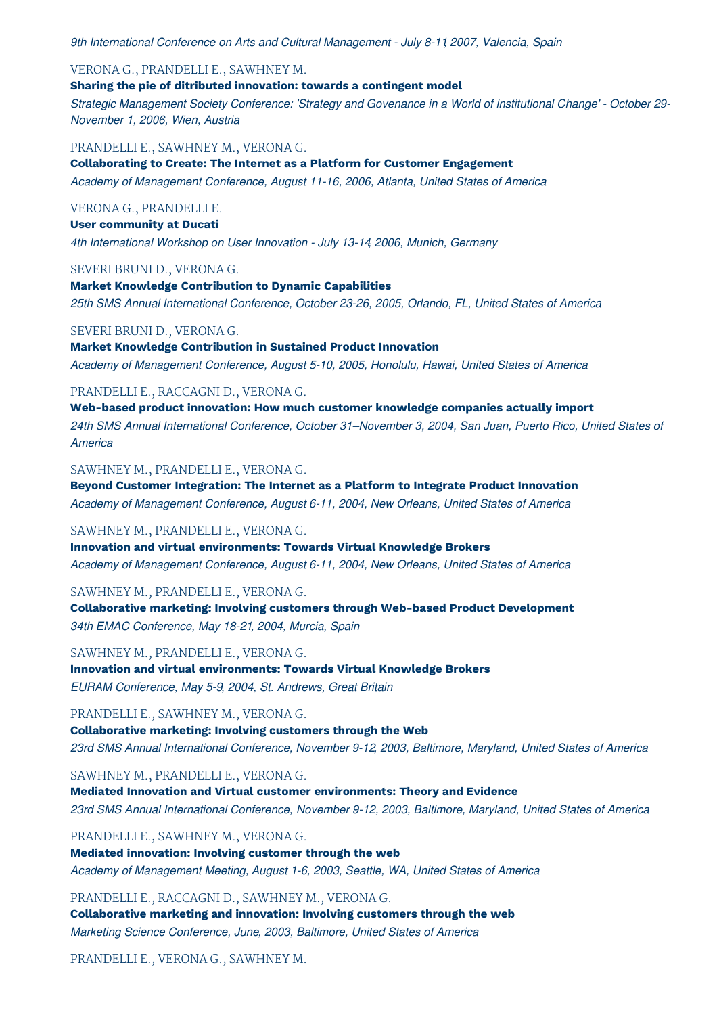*9th International Conference on Arts and Cultural Management - July 8-11, 2007, Valencia, Spain*

# VERONA G., PRANDELLI E., SAWHNEY M.

**Sharing the pie of ditributed innovation: towards a contingent model**

Strategic Management Society Conference: 'Strategy and Govenance in a World of institutional Change' - October 29-*November 1, 2006, Wien, Austria*

PRANDELLI E., SAWHNEY M., VERONA G.

**Collaborating to Create: The Internet as a Platform for Customer Engagement** *Academy of Management Conference, August 11-16, 2006, Atlanta, United States of America*

# VERONA G., PRANDELLI E.

**User community at Ducati** *4th International Workshop on User Innovation - July 13-14, 2006, Munich, Germany*

# SEVERI BRUNI D., VERONA G.

**Market Knowledge Contribution to Dynamic Capabilities** *25th SMS Annual International Conference, October 23-26, 2005, Orlando, FL, United States of America*

# SEVERI BRUNI D., VERONA G.

**Market Knowledge Contribution in Sustained Product Innovation** *Academy of Management Conference, August 5-10, 2005, Honolulu, Hawai, United States of America*

# PRANDELLI E., RACCAGNI D., VERONA G.

**Web-based product innovation: How much customer knowledge companies actually import** *24th SMS Annual International Conference, October 31–November 3, 2004, San Juan, Puerto Rico, United States of America*

#### SAWHNEY M., PRANDELLI E., VERONA G.

**Beyond Customer Integration: The Internet as a Platform to Integrate Product Innovation** *Academy of Management Conference, August 6-11, 2004, New Orleans, United States of America*

# SAWHNEY M., PRANDELLI E., VERONA G.

**Innovation and virtual environments: Towards Virtual Knowledge Brokers** *Academy of Management Conference, August 6-11, 2004, New Orleans, United States of America*

# SAWHNEY M., PRANDELLI E., VERONA G.

**Collaborative marketing: Involving customers through Web-based Product Development** *34th EMAC Conference, May 18-21, 2004, Murcia, Spain*

SAWHNEY M., PRANDELLI E., VERONA G.

**Innovation and virtual environments: Towards Virtual Knowledge Brokers** *EURAM Conference, May 5-9, 2004, St. Andrews, Great Britain*

# PRANDELLI E., SAWHNEY M., VERONA G.

**Collaborative marketing: Involving customers through the Web** *23rd SMS Annual International Conference, November 9-12, 2003, Baltimore, Maryland, United States of America*

SAWHNEY M., PRANDELLI E., VERONA G.

**Mediated Innovation and Virtual customer environments: Theory and Evidence** *23rd SMS Annual International Conference, November 9-12, 2003, Baltimore, Maryland, United States of America*

PRANDELLI E., SAWHNEY M., VERONA G.

**Mediated innovation: Involving customer through the web** *Academy of Management Meeting, August 1-6, 2003, Seattle, WA, United States of America*

PRANDELLI E., RACCAGNI D., SAWHNEY M., VERONA G.

**Collaborative marketing and innovation: Involving customers through the web** *Marketing Science Conference, June, 2003, Baltimore, United States of America*

PRANDELLI E., VERONA G., SAWHNEY M.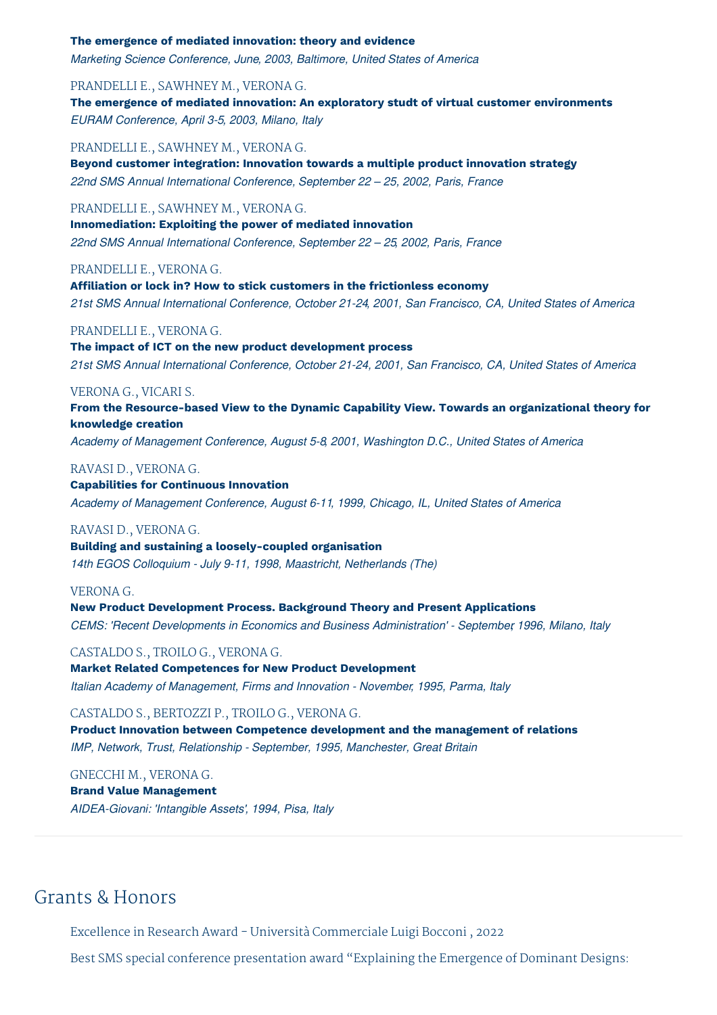#### **The emergence of mediated innovation: theory and evidence**

*Marketing Science Conference, June, 2003, Baltimore, United States of America*

# PRANDELLI E., SAWHNEY M., VERONA G.

**The emergence of mediated innovation: An exploratory studt of virtual customer environments** *EURAM Conference, April 3-5, 2003, Milano, Italy*

PRANDELLI E., SAWHNEY M., VERONA G.

**Beyond customer integration: Innovation towards a multiple product innovation strategy** *22nd SMS Annual International Conference, September 22 – 25, 2002, Paris, France*

# PRANDELLI E., SAWHNEY M., VERONA G.

**Innomediation: Exploiting the power of mediated innovation** *22nd SMS Annual International Conference, September 22 – 25, 2002, Paris, France*

# PRANDELLI E., VERONA G.

**Affiliation or lock in? How to stick customers in the frictionless economy** *21st SMS Annual International Conference, October 21-24, 2001, San Francisco, CA, United States of America*

## PRANDELLI E., VERONA G.

**The impact of ICT on the new product development process** *21st SMS Annual International Conference, October 21-24, 2001, San Francisco, CA, United States of America*

# VERONA G., VICARI S.

**From the Resource-based View to the Dynamic Capability View. Towards an organizational theory for knowledge creation**

*Academy of Management Conference, August 5-8, 2001, Washington D.C., United States of America*

# RAVASI D., VERONA G.

**Capabilities for Continuous Innovation** *Academy of Management Conference, August 6-11, 1999, Chicago, IL, United States of America*

#### RAVASI D., VERONA G.

**Building and sustaining a loosely-coupled organisation** *14th EGOS Colloquium - July 9-11, 1998, Maastricht, Netherlands (The)*

#### VERONA G.

**New Product Development Process. Background Theory and Present Applications** *CEMS: 'Recent Developments in Economics and Business Administration' - September, 1996, Milano, Italy*

#### CASTALDO S., TROILO G., VERONA G.

**Market Related Competences for New Product Development** *Italian Academy of Management, Firms and Innovation - November, 1995, Parma, Italy*

#### CASTALDO S., BERTOZZI P., TROILO G., VERONA G.

**Product Innovation between Competence development and the management of relations** *IMP, Network, Trust, Relationship - September, 1995, Manchester, Great Britain*

## GNECCHI M., VERONA G.

**Brand Value Management**

*AIDEA-Giovani: 'Intangible Assets', 1994, Pisa, Italy*

# Grants & Honors

Excellence in Research Award - Università Commerciale Luigi Bocconi , 2022

Best SMS special conference presentation award "Explaining the Emergence of Dominant Designs: